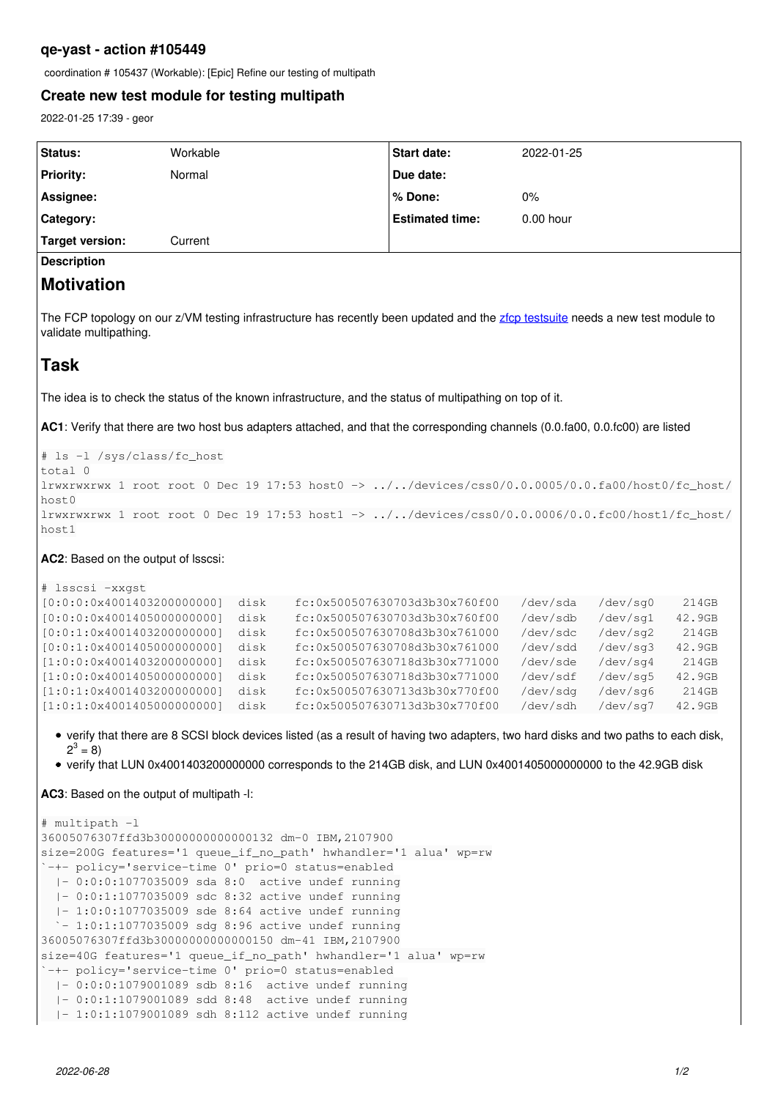## **qe-yast - action #105449**

coordination # 105437 (Workable): [Epic] Refine our testing of multipath

#### **Create new test module for testing multipath**

2022-01-25 17:39 - geor

| Status:                | Workable | <b>Start date:</b>     | 2022-01-25  |
|------------------------|----------|------------------------|-------------|
| <b>Priority:</b>       | Normal   | Due date:              |             |
| Assignee:              |          | l % Done:              | 0%          |
| <b>Category:</b>       |          | <b>Estimated time:</b> | $0.00$ hour |
| <b>Target version:</b> | Current  |                        |             |
| <b>Description</b>     |          |                        |             |

# **Motivation**

The FCP topology on our z/VM testing infrastructure has recently been updated and the [zfcp testsuite](https://openqa.suse.de/tests/latest?distri=sle&flavor=Online&test=zfcp&version=15-SP4) needs a new test module to validate multipathing.

# **Task**

The idea is to check the status of the known infrastructure, and the status of multipathing on top of it.

**AC1**: Verify that there are two host bus adapters attached, and that the corresponding channels (0.0.fa00, 0.0.fc00) are listed

# ls -l /sys/class/fc\_host total 0 lrwxrwxrwx 1 root root 0 Dec 19 17:53 host0 -> ../../devices/css0/0.0.0005/0.0.fa00/host0/fc\_host/  $h$ ost $0$ lrwxrwxrwx 1 root root 0 Dec 19 17:53 host1 -> ../../devices/css0/0.0.0006/0.0.fc00/host1/fc\_host/ host1

#### **AC2**: Based on the output of lsscsi:

```
# lsscsi -xxgst
[0:0:0:0x4001403200000000]  disk    fc:0x500507630703d3b30x760f00   /dev/sda   /dev/sg0    214GB
[0:0:0:0x4001405000000000]  disk    fc:0x500507630703d3b30x760f00   /dev/sdb   /dev/sg1   42.9GB
[0:0:1:0x4001403200000000]  disk    fc:0x500507630708d3b30x761000   /dev/sdc   /dev/sg2    214GB
[0:0:1:0x4001405000000000]  disk    fc:0x500507630708d3b30x761000   /dev/sdd   /dev/sg3   42.9GB
[1:0:0:0x4001403200000000]  disk    fc:0x500507630718d3b30x771000   /dev/sde   /dev/sg4    214GB
[1:0:0:0x4001405000000000]  disk    fc:0x500507630718d3b30x771000   /dev/sdf   /dev/sg5   42.9GB
[1:0:1:0x4001403200000000]  disk    fc:0x500507630713d3b30x770f00   /dev/sdg   /dev/sg6    214GB
[1:0:1:0x4001405000000000]  disk    fc:0x500507630713d3b30x770f00   /dev/sdh   /dev/sg7   42.9GB
```
- verify that there are 8 SCSI block devices listed (as a result of having two adapters, two hard disks and two paths to each disk,  $2^3 = 8$
- verify that LUN 0x4001403200000000 corresponds to the 214GB disk, and LUN 0x4001405000000000 to the 42.9GB disk

**AC3**: Based on the output of multipath -l:

```
# multipath -l
36005076307ffd3b30000000000000132 dm-0 IBM,2107900
size=200G features='1 queue_if_no_path' hwhandler='1 alua' wp=rw
`-+- policy='service-time 0' prio=0 status=enabled
    |- 0:0:0:1077035009 sda 8:0  active undef running
    |- 0:0:1:1077035009 sdc 8:32 active undef running
    |- 1:0:0:1077035009 sde 8:64 active undef running
  \dot{-} 1:0:1:1077035009 sdg 8:96 active undef running
36005076307ffd3b30000000000000150 dm-41 IBM,2107900
size=40G features='1 queue_if_no_path' hwhandler='1 alua' wp=rw
`-+- policy='service-time 0' prio=0 status=enabled
    |- 0:0:0:1079001089 sdb 8:16  active undef running
    |- 0:0:1:1079001089 sdd 8:48  active undef running
    |- 1:0:1:1079001089 sdh 8:112 active undef running
```